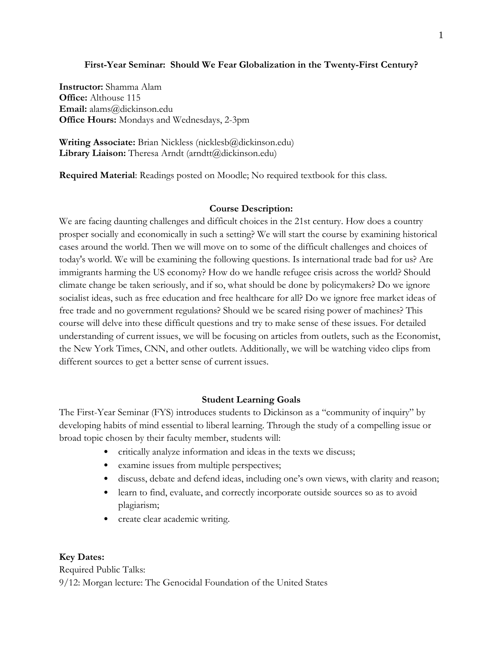## **First-Year Seminar: Should We Fear Globalization in the Twenty-First Century?**

**Instructor:** Shamma Alam **Office:** Althouse 115 **Email:** alams@dickinson.edu **Office Hours:** Mondays and Wednesdays, 2-3pm

**Writing Associate:** Brian Nickless (nicklesb@dickinson.edu) Library Liaison: Theresa Arndt (arndtt@dickinson.edu)

**Required Material**: Readings posted on Moodle; No required textbook for this class.

## **Course Description:**

We are facing daunting challenges and difficult choices in the 21st century. How does a country prosper socially and economically in such a setting? We will start the course by examining historical cases around the world. Then we will move on to some of the difficult challenges and choices of today's world. We will be examining the following questions. Is international trade bad for us? Are immigrants harming the US economy? How do we handle refugee crisis across the world? Should climate change be taken seriously, and if so, what should be done by policymakers? Do we ignore socialist ideas, such as free education and free healthcare for all? Do we ignore free market ideas of free trade and no government regulations? Should we be scared rising power of machines? This course will delve into these difficult questions and try to make sense of these issues. For detailed understanding of current issues, we will be focusing on articles from outlets, such as the Economist, the New York Times, CNN, and other outlets. Additionally, we will be watching video clips from different sources to get a better sense of current issues.

## **Student Learning Goals**

The First-Year Seminar (FYS) introduces students to Dickinson as a "community of inquiry" by developing habits of mind essential to liberal learning. Through the study of a compelling issue or broad topic chosen by their faculty member, students will:

- critically analyze information and ideas in the texts we discuss;
- examine issues from multiple perspectives;
- discuss, debate and defend ideas, including one's own views, with clarity and reason;
- learn to find, evaluate, and correctly incorporate outside sources so as to avoid plagiarism;
- create clear academic writing.

## **Key Dates:**

Required Public Talks: 9/12: Morgan lecture: The Genocidal Foundation of the United States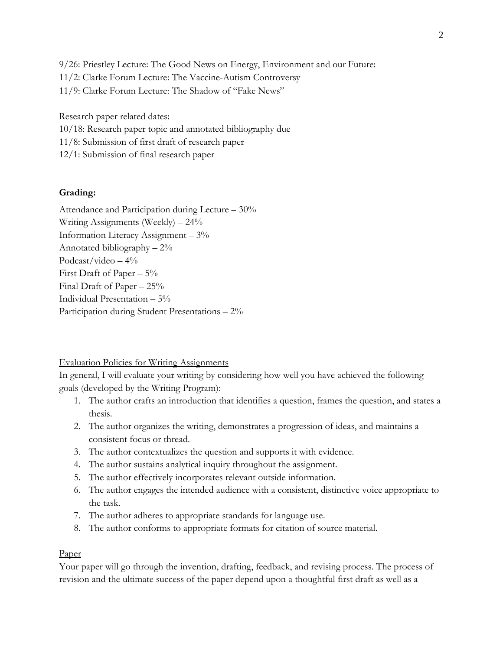9/26: Priestley Lecture: The Good News on Energy, Environment and our Future: 11/2: Clarke Forum Lecture: The Vaccine-Autism Controversy 11/9: Clarke Forum Lecture: The Shadow of "Fake News"

Research paper related dates:

10/18: Research paper topic and annotated bibliography due

11/8: Submission of first draft of research paper

12/1: Submission of final research paper

### **Grading:**

Attendance and Participation during Lecture – 30% Writing Assignments (Weekly) – 24% Information Literacy Assignment – 3% Annotated bibliography – 2% Podcast/video  $-4\%$ First Draft of Paper – 5% Final Draft of Paper – 25% Individual Presentation – 5% Participation during Student Presentations – 2%

Evaluation Policies for Writing Assignments

In general, I will evaluate your writing by considering how well you have achieved the following goals (developed by the Writing Program):

- 1. The author crafts an introduction that identifies a question, frames the question, and states a thesis.
- 2. The author organizes the writing, demonstrates a progression of ideas, and maintains a consistent focus or thread.
- 3. The author contextualizes the question and supports it with evidence.
- 4. The author sustains analytical inquiry throughout the assignment.
- 5. The author effectively incorporates relevant outside information.
- 6. The author engages the intended audience with a consistent, distinctive voice appropriate to the task.
- 7. The author adheres to appropriate standards for language use.
- 8. The author conforms to appropriate formats for citation of source material.

#### Paper

Your paper will go through the invention, drafting, feedback, and revising process. The process of revision and the ultimate success of the paper depend upon a thoughtful first draft as well as a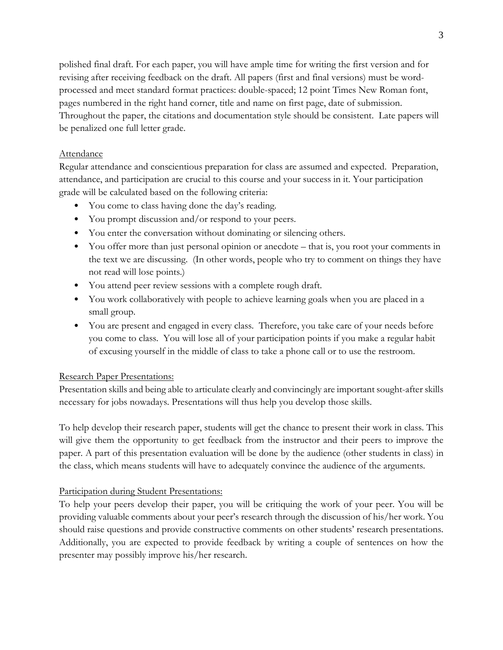polished final draft. For each paper, you will have ample time for writing the first version and for revising after receiving feedback on the draft. All papers (first and final versions) must be wordprocessed and meet standard format practices: double-spaced; 12 point Times New Roman font, pages numbered in the right hand corner, title and name on first page, date of submission. Throughout the paper, the citations and documentation style should be consistent. Late papers will be penalized one full letter grade.

# Attendance

Regular attendance and conscientious preparation for class are assumed and expected. Preparation, attendance, and participation are crucial to this course and your success in it. Your participation grade will be calculated based on the following criteria:

- You come to class having done the day's reading.
- You prompt discussion and/or respond to your peers.
- You enter the conversation without dominating or silencing others.
- You offer more than just personal opinion or anecdote that is, you root your comments in the text we are discussing. (In other words, people who try to comment on things they have not read will lose points.)
- You attend peer review sessions with a complete rough draft.
- You work collaboratively with people to achieve learning goals when you are placed in a small group.
- You are present and engaged in every class. Therefore, you take care of your needs before you come to class. You will lose all of your participation points if you make a regular habit of excusing yourself in the middle of class to take a phone call or to use the restroom.

# Research Paper Presentations:

Presentation skills and being able to articulate clearly and convincingly are important sought-after skills necessary for jobs nowadays. Presentations will thus help you develop those skills.

To help develop their research paper, students will get the chance to present their work in class. This will give them the opportunity to get feedback from the instructor and their peers to improve the paper. A part of this presentation evaluation will be done by the audience (other students in class) in the class, which means students will have to adequately convince the audience of the arguments.

# Participation during Student Presentations:

To help your peers develop their paper, you will be critiquing the work of your peer. You will be providing valuable comments about your peer's research through the discussion of his/her work. You should raise questions and provide constructive comments on other students' research presentations. Additionally, you are expected to provide feedback by writing a couple of sentences on how the presenter may possibly improve his/her research.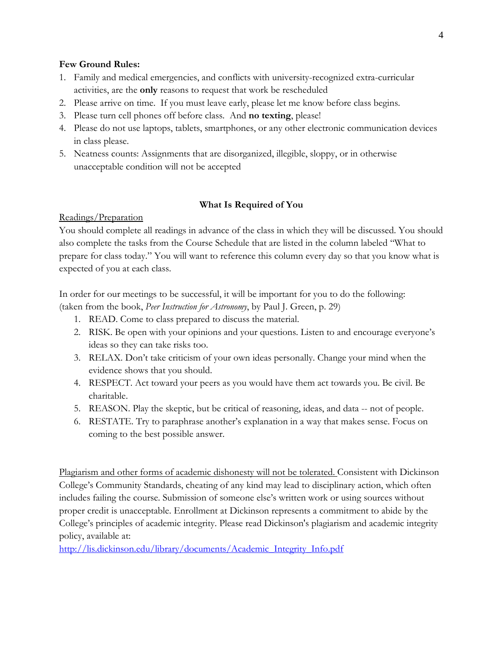## **Few Ground Rules:**

- 1. Family and medical emergencies, and conflicts with university-recognized extra-curricular activities, are the **only** reasons to request that work be rescheduled
- 2. Please arrive on time. If you must leave early, please let me know before class begins.
- 3. Please turn cell phones off before class. And **no texting**, please!
- 4. Please do not use laptops, tablets, smartphones, or any other electronic communication devices in class please.
- 5. Neatness counts: Assignments that are disorganized, illegible, sloppy, or in otherwise unacceptable condition will not be accepted

# **What Is Required of You**

# Readings/Preparation

You should complete all readings in advance of the class in which they will be discussed. You should also complete the tasks from the Course Schedule that are listed in the column labeled "What to prepare for class today." You will want to reference this column every day so that you know what is expected of you at each class.

In order for our meetings to be successful, it will be important for you to do the following: (taken from the book, *Peer Instruction for Astronomy*, by Paul J. Green, p. 29)

- 1. READ. Come to class prepared to discuss the material.
- 2. RISK. Be open with your opinions and your questions. Listen to and encourage everyone's ideas so they can take risks too.
- 3. RELAX. Don't take criticism of your own ideas personally. Change your mind when the evidence shows that you should.
- 4. RESPECT. Act toward your peers as you would have them act towards you. Be civil. Be charitable.
- 5. REASON. Play the skeptic, but be critical of reasoning, ideas, and data -- not of people.
- 6. RESTATE. Try to paraphrase another's explanation in a way that makes sense. Focus on coming to the best possible answer.

Plagiarism and other forms of academic dishonesty will not be tolerated. Consistent with Dickinson College's Community Standards, cheating of any kind may lead to disciplinary action, which often includes failing the course. Submission of someone else's written work or using sources without proper credit is unacceptable. Enrollment at Dickinson represents a commitment to abide by the College's principles of academic integrity. Please read Dickinson's plagiarism and academic integrity policy, available at:

[http://lis.dickinson.edu/library/documents/Academic\\_Integrity\\_Info.pdf](http://lis.dickinson.edu/library/documents/Academic_Integrity_Info.pdf)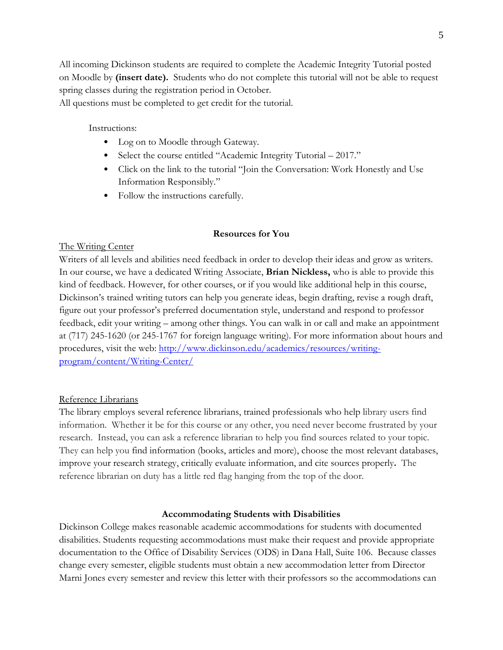All incoming Dickinson students are required to complete the Academic Integrity Tutorial posted on Moodle by **(insert date).** Students who do not complete this tutorial will not be able to request spring classes during the registration period in October.

All questions must be completed to get credit for the tutorial.

Instructions:

- Log on to Moodle through Gateway.
- Select the course entitled "Academic Integrity Tutorial 2017."
- Click on the link to the tutorial "Join the Conversation: Work Honestly and Use Information Responsibly."
- Follow the instructions carefully.

### **Resources for You**

### The Writing Center

Writers of all levels and abilities need feedback in order to develop their ideas and grow as writers. In our course, we have a dedicated Writing Associate, **Brian Nickless,** who is able to provide this kind of feedback. However, for other courses, or if you would like additional help in this course, Dickinson's trained writing tutors can help you generate ideas, begin drafting, revise a rough draft, figure out your professor's preferred documentation style, understand and respond to professor feedback, edit your writing – among other things. You can walk in or call and make an appointment at (717) 245-1620 (or 245-1767 for foreign language writing). For more information about hours and procedures, visit the web: [http://www.dickinson.edu/academics/resources/writing](http://www.dickinson.edu/academics/resources/writing-program/content/Writing-Center/)[program/content/Writing-Center/](http://www.dickinson.edu/academics/resources/writing-program/content/Writing-Center/)

#### Reference Librarians

The library employs several reference librarians, trained professionals who help library users find information. Whether it be for this course or any other, you need never become frustrated by your research. Instead, you can ask a reference librarian to help you find sources related to your topic. They can help you find information (books, articles and more), choose the most relevant databases, improve your research strategy, critically evaluate information, and cite sources properly**.** The reference librarian on duty has a little red flag hanging from the top of the door.

## **Accommodating Students with Disabilities**

Dickinson College makes reasonable academic accommodations for students with documented disabilities. Students requesting accommodations must make their request and provide appropriate documentation to the Office of Disability Services (ODS) in Dana Hall, Suite 106. Because classes change every semester, eligible students must obtain a new accommodation letter from Director Marni Jones every semester and review this letter with their professors so the accommodations can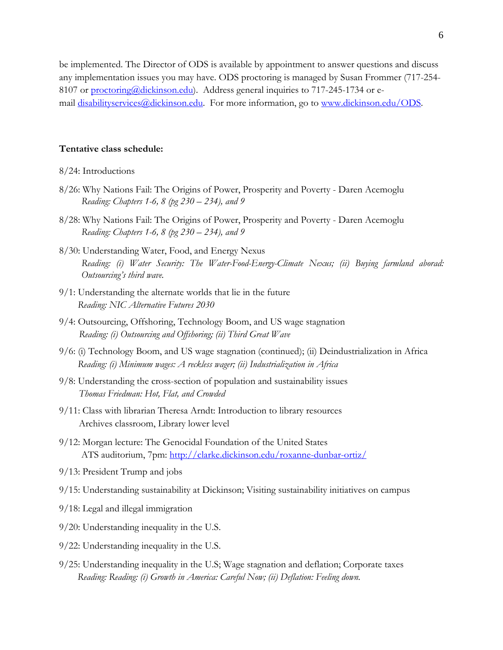be implemented. The Director of ODS is available by appointment to answer questions and discuss any implementation issues you may have. ODS proctoring is managed by Susan Frommer (717-254 8107 or [proctoring@dickinson.edu\)](mailto:proctoring@dickinson.edu). Address general inquiries to 717-245-1734 or email [disabilityservices@dickinson.edu.](mailto:disabilityservices@dickinson.edu) For more information, go to [www.dickinson.edu/ODS.](http://www.dickinson.edu/ODS)

#### **Tentative class schedule:**

#### 8/24: Introductions

- 8/26: Why Nations Fail: The Origins of Power, Prosperity and Poverty Daren Acemoglu  *Reading: Chapters 1-6, 8 (pg 230 – 234), and 9*
- 8/28: Why Nations Fail: The Origins of Power, Prosperity and Poverty Daren Acemoglu  *Reading: Chapters 1-6, 8 (pg 230 – 234), and 9*
- 8/30: Understanding Water, Food, and Energy Nexus *Reading: (i) Water Security: The Water-Food-Energy-Climate Nexus; (ii) Buying farmland aborad: Outsourcing's third wave.*
- 9/1: Understanding the alternate worlds that lie in the future *Reading: NIC Alternative Futures 2030*
- 9/4: Outsourcing, Offshoring, Technology Boom, and US wage stagnation  *Reading: (i) Outsourcing and Offshoring; (ii) Third Great Wave*
- 9/6: (i) Technology Boom, and US wage stagnation (continued); (ii) Deindustrialization in Africa *Reading: (i) Minimum wages: A reckless wager; (ii) Industrialization in Africa*
- 9/8: Understanding the cross-section of population and sustainability issues  *Thomas Friedman: Hot, Flat, and Crowded*
- 9/11: Class with librarian Theresa Arndt: Introduction to library resources Archives classroom, Library lower level
- 9/12: Morgan lecture: The Genocidal Foundation of the United States ATS auditorium, 7pm:<http://clarke.dickinson.edu/roxanne-dunbar-ortiz/>
- 9/13: President Trump and jobs
- 9/15: Understanding sustainability at Dickinson; Visiting sustainability initiatives on campus
- 9/18: Legal and illegal immigration
- 9/20: Understanding inequality in the U.S.
- 9/22: Understanding inequality in the U.S.
- 9/25: Understanding inequality in the U.S; Wage stagnation and deflation; Corporate taxes *Reading: Reading: (i) Growth in America: Careful Now; (ii) Deflation: Feeling down.*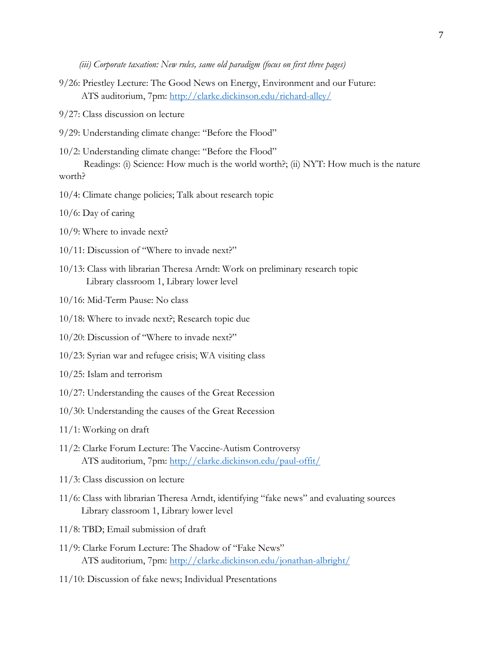*(iii) Corporate taxation: New rules, same old paradigm (focus on first three pages)*

- 9/26: Priestley Lecture: The Good News on Energy, Environment and our Future: ATS auditorium, 7pm: <http://clarke.dickinson.edu/richard-alley/>
- 9/27: Class discussion on lecture
- 9/29: Understanding climate change: "Before the Flood"
- 10/2: Understanding climate change: "Before the Flood"

 Readings: (i) Science: How much is the world worth?; (ii) NYT: How much is the nature worth?

- 10/4: Climate change policies; Talk about research topic
- 10/6: Day of caring
- 10/9: Where to invade next?
- 10/11: Discussion of "Where to invade next?"
- 10/13: Class with librarian Theresa Arndt: Work on preliminary research topic Library classroom 1, Library lower level
- 10/16: Mid-Term Pause: No class
- 10/18: Where to invade next?; Research topic due
- 10/20: Discussion of "Where to invade next?"
- 10/23: Syrian war and refugee crisis; WA visiting class
- 10/25: Islam and terrorism
- 10/27: Understanding the causes of the Great Recession
- 10/30: Understanding the causes of the Great Recession
- 11/1: Working on draft
- 11/2: Clarke Forum Lecture: The Vaccine-Autism Controversy ATS auditorium, 7pm:<http://clarke.dickinson.edu/paul-offit/>
- 11/3: Class discussion on lecture
- 11/6: Class with librarian Theresa Arndt, identifying "fake news" and evaluating sources Library classroom 1, Library lower level
- 11/8: TBD; Email submission of draft
- 11/9: Clarke Forum Lecture: The Shadow of "Fake News" ATS auditorium, 7pm:<http://clarke.dickinson.edu/jonathan-albright/>
- 11/10: Discussion of fake news; Individual Presentations